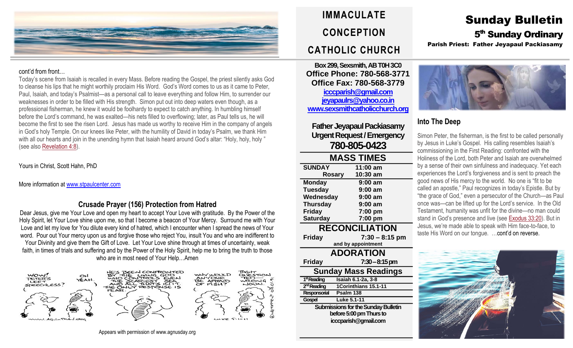

#### cont'd from front…

Today's scene from Isaiah is recalled in every Mass. Before reading the Gospel, the priest silently asks God to cleanse his lips that he might worthily proclaim His Word. God's Word comes to us as it came to Peter, Paul, Isaiah, and today's Psalmist—as a personal call to leave everything and follow Him, to surrender our weaknesses in order to be filled with His strength. Simon put out into deep waters even though, as a professional fisherman, he knew it would be foolhardy to expect to catch anything. In humbling himself before the Lord's command, he was exalted—his nets filled to overflowing; later, as Paul tells us, he will become the first to see the risen Lord. Jesus has made us worthy to receive Him in the company of angels in God's holy Temple. On our knees like Peter, with the humility of David in today's Psalm, we thank Him with all our hearts and join in the unending hymn that Isaiah heard around God's altar: "Holy, holy, holy " (see also [Revelation](https://biblia.com/bible/rsvce/Rev%204.8) 4:8).

Yours in Christ, Scott Hahn, PhD

More information at [www.stpaulcenter.com](http://www.stpaulcenter.com/)

### **Crusade Prayer (156) Protection from Hatred**

Dear Jesus, give me Your Love and open my heart to accept Your Love with gratitude. By the Power of the Holy Spirit, let Your Love shine upon me, so that I become a beacon of Your Mercy. Surround me with Your Love and let my love for You dilute every kind of hatred, which I encounter when I spread the news of Your word. Pour out Your mercy upon us and forgive those who reject You, insult You and who are indifferent to Your Divinity and give them the Gift of Love. Let Your Love shine through at times of uncertainty, weak faith, in times of trials and suffering and by the Power of the Holy Spirit, help me to bring the truth to those who are in most need of Your Help…Amen



Appears with permission of www.agnusday.org

## **IMMACULATE CONCEPTION CATHOLIC CHURCH**

**Box 299, Sexsmith, AB T0H 3C0 Office Phone: 780-568-3771 Office Fax: 780-568-3779 [icccparish@gmail.com](mailto:icccparish@gmail.com) [jeyapaulrs@yahoo.co.in](mailto:jeyapaulrs@yahoo.co.in) [www.sexsmithcatholicchurch.org](http://www.sexsmithcatholicchurch.org/)**

**Father Jeyapaul Packiasamy Urgent Request/Emergency 780-805-0423**

| <b>MASS TIMES</b>                          |                           |  |  |
|--------------------------------------------|---------------------------|--|--|
| <b>SUNDAY</b>                              | 11:00 am                  |  |  |
|                                            | 10:30 am<br><b>Rosary</b> |  |  |
| <b>Monday</b>                              | 9:00 am                   |  |  |
| <b>Tuesday</b>                             | 9:00 am                   |  |  |
| Wednesday                                  | 9:00 am                   |  |  |
| <b>Thursday</b>                            | 9:00 am                   |  |  |
| <b>Friday</b>                              | 7:00 pm                   |  |  |
| <b>Saturday</b>                            | 7:00 pm                   |  |  |
| <b>RECONCILIATION</b>                      |                           |  |  |
| <b>Friday</b>                              | $7:30 - 8:15$ pm          |  |  |
|                                            | and by appointment        |  |  |
| <b>ADORATION</b>                           |                           |  |  |
| <b>Friday</b>                              | 7:30–8:15 pm              |  |  |
| <b>Sunday Mass Readings</b>                |                           |  |  |
| 1 <sup>st</sup> Reading                    | Isaiah 6.1-2a, 3-8        |  |  |
| 2 <sup>nd</sup> Reading                    | 1Corinthians 15.1-11      |  |  |
| Responsorial                               | Psalm 138                 |  |  |
| Gospel                                     | Luke 5.1-11               |  |  |
| <b>Submissions for the Sunday Bulletin</b> |                           |  |  |
| before 5:00 pm Thurs to                    |                           |  |  |
| icccparish@gmail.com                       |                           |  |  |
|                                            |                           |  |  |

## Sunday Bulletin 5<sup>th</sup> Sunday Ordinary Parish Priest: Father Jeyapaul Packiasamy



## **Into The Deep**

Simon Peter, the fisherman, is the first to be called personally by Jesus in Luke's Gospel. His calling resembles Isaiah's commissioning in the First Reading: confronted with the Holiness of the Lord, both Peter and Isaiah are overwhelmed by a sense of their own sinfulness and inadequacy. Yet each experiences the Lord's forgiveness and is sent to preach the good news of His mercy to the world. No one is "fit to be called an apostle," Paul recognizes in today's Epistle. But by "the grace of God," even a persecutor of the Church—as Paul once was—can be lifted up for the Lord's service. In the Old Testament, humanity was unfit for the divine—no man could stand in God's presence and live (see [Exodus](https://biblia.com/bible/rsvce/Exod%2033.20) 33:20). But in Jesus, we're made able to speak with Him face-to-face, to taste His Word on our tongue. …cont'd on reverse.